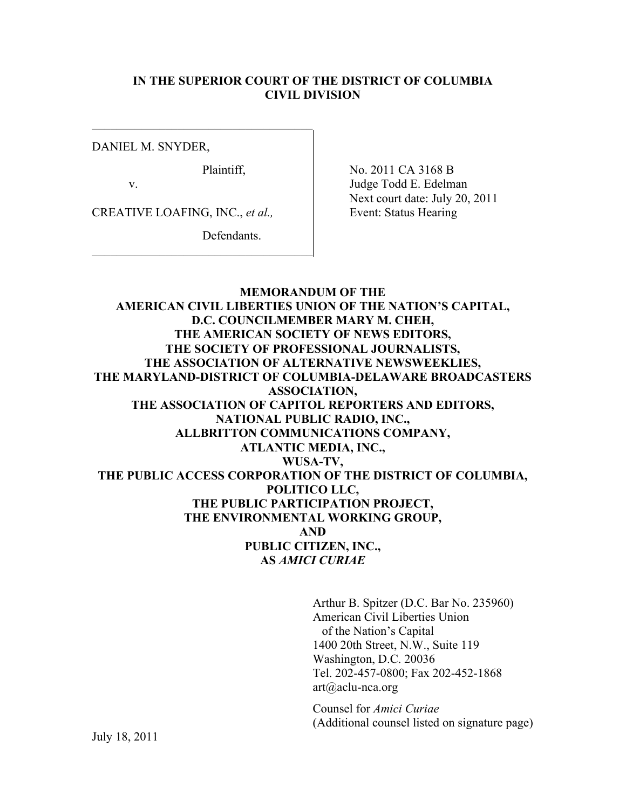#### **IN THE SUPERIOR COURT OF THE DISTRICT OF COLUMBIA CIVIL DIVISION**

DANIEL M. SNYDER,

CREATIVE LOAFING, INC., *et al.*, Event: Status Hearing

 $\mathcal{L}_\text{max}$  , where  $\mathcal{L}_\text{max}$  and  $\mathcal{L}_\text{max}$  and  $\mathcal{L}_\text{max}$ 

 $\mathcal{L}_\text{max}$  , where  $\mathcal{L}_\text{max}$  and  $\mathcal{L}_\text{max}$  and  $\mathcal{L}_\text{max}$ 

Defendants.

Plaintiff, No. 2011 CA 3168 B v. Judge Todd E. Edelman Next court date: July 20, 2011

**MEMORANDUM OF THE AMERICAN CIVIL LIBERTIES UNION OF THE NATION'S CAPITAL, D.C. COUNCILMEMBER MARY M. CHEH, THE AMERICAN SOCIETY OF NEWS EDITORS, THE SOCIETY OF PROFESSIONAL JOURNALISTS, THE ASSOCIATION OF ALTERNATIVE NEWSWEEKLIES, THE MARYLAND-DISTRICT OF COLUMBIA-DELAWARE BROADCASTERS ASSOCIATION, THE ASSOCIATION OF CAPITOL REPORTERS AND EDITORS, NATIONAL PUBLIC RADIO, INC., ALLBRITTON COMMUNICATIONS COMPANY, ATLANTIC MEDIA, INC., WUSA-TV, THE PUBLIC ACCESS CORPORATION OF THE DISTRICT OF COLUMBIA, POLITICO LLC, THE PUBLIC PARTICIPATION PROJECT, THE ENVIRONMENTAL WORKING GROUP, AND PUBLIC CITIZEN, INC., AS** *AMICI CURIAE*

> Arthur B. Spitzer (D.C. Bar No. 235960) American Civil Liberties Union of the Nation's Capital 1400 20th Street, N.W., Suite 119 Washington, D.C. 20036 Tel. 202-457-0800; Fax 202-452-1868 art@aclu-nca.org

Counsel for *Amici Curiae* (Additional counsel listed on signature page)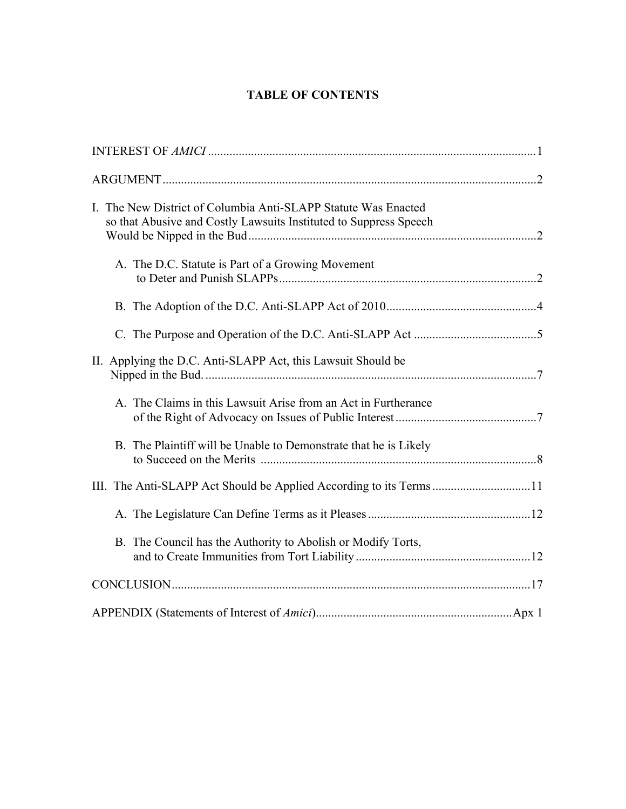# **TABLE OF CONTENTS**

| I. The New District of Columbia Anti-SLAPP Statute Was Enacted<br>so that Abusive and Costly Lawsuits Instituted to Suppress Speech |  |
|-------------------------------------------------------------------------------------------------------------------------------------|--|
| A. The D.C. Statute is Part of a Growing Movement                                                                                   |  |
|                                                                                                                                     |  |
|                                                                                                                                     |  |
| II. Applying the D.C. Anti-SLAPP Act, this Lawsuit Should be                                                                        |  |
| A. The Claims in this Lawsuit Arise from an Act in Furtherance                                                                      |  |
| B. The Plaintiff will be Unable to Demonstrate that he is Likely                                                                    |  |
| III. The Anti-SLAPP Act Should be Applied According to its Terms 11                                                                 |  |
|                                                                                                                                     |  |
| B. The Council has the Authority to Abolish or Modify Torts,                                                                        |  |
|                                                                                                                                     |  |
|                                                                                                                                     |  |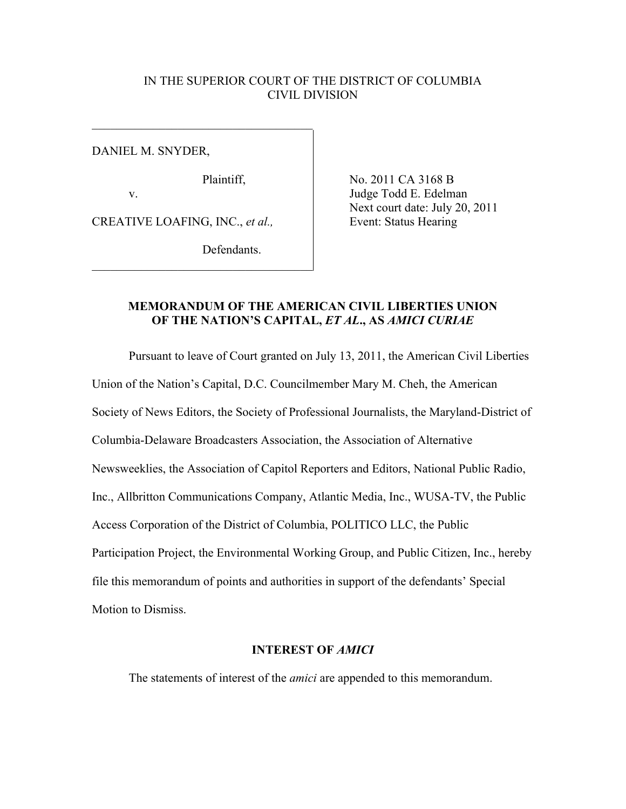#### IN THE SUPERIOR COURT OF THE DISTRICT OF COLUMBIA CIVIL DIVISION

DANIEL M. SNYDER,

 $\mathcal{L}_\text{max}$  , where  $\mathcal{L}_\text{max}$  and  $\mathcal{L}_\text{max}$  and  $\mathcal{L}_\text{max}$ 

CREATIVE LOAFING, INC., *et al.*, Event: Status Hearing

 $\mathcal{L}_\text{max}$  , where  $\mathcal{L}_\text{max}$  and  $\mathcal{L}_\text{max}$  and  $\mathcal{L}_\text{max}$ 

Defendants.

Plaintiff, No. 2011 CA 3168 B v. Judge Todd E. Edelman Next court date: July 20, 2011

## **MEMORANDUM OF THE AMERICAN CIVIL LIBERTIES UNION OF THE NATION'S CAPITAL,** *ET AL***., AS** *AMICI CURIAE*

Pursuant to leave of Court granted on July 13, 2011, the American Civil Liberties Union of the Nation's Capital, D.C. Councilmember Mary M. Cheh, the American Society of News Editors, the Society of Professional Journalists, the Maryland-District of Columbia-Delaware Broadcasters Association, the Association of Alternative Newsweeklies, the Association of Capitol Reporters and Editors, National Public Radio, Inc., Allbritton Communications Company, Atlantic Media, Inc., WUSA-TV, the Public Access Corporation of the District of Columbia, POLITICO LLC, the Public Participation Project, the Environmental Working Group, and Public Citizen, Inc., hereby file this memorandum of points and authorities in support of the defendants' Special Motion to Dismiss.

#### **INTEREST OF** *AMICI*

The statements of interest of the *amici* are appended to this memorandum.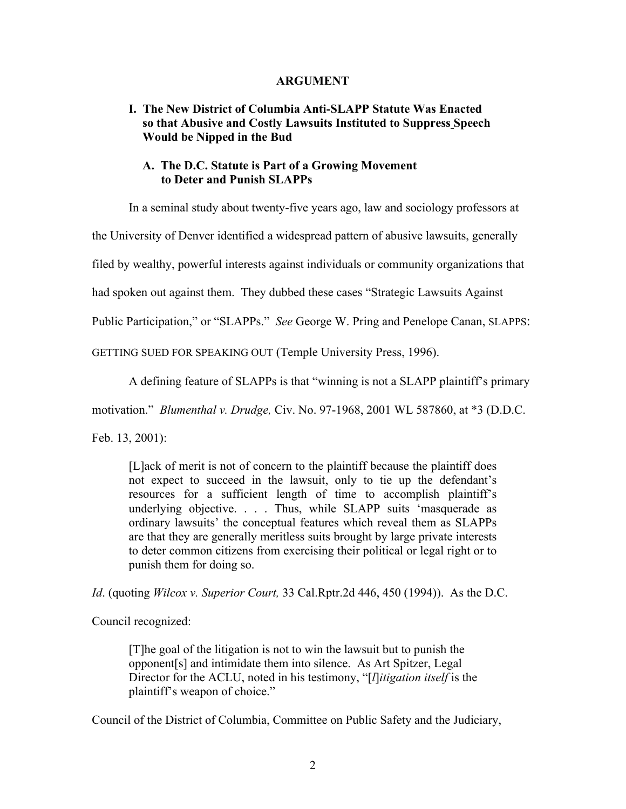#### **ARGUMENT**

## **I. The New District of Columbia Anti-SLAPP Statute Was Enacted so that Abusive and Costly Lawsuits Instituted to Suppress Speech Would be Nipped in the Bud**

### **A. The D.C. Statute is Part of a Growing Movement to Deter and Punish SLAPPs**

In a seminal study about twenty-five years ago, law and sociology professors at

the University of Denver identified a widespread pattern of abusive lawsuits, generally

filed by wealthy, powerful interests against individuals or community organizations that

had spoken out against them. They dubbed these cases "Strategic Lawsuits Against

Public Participation," or "SLAPPs." *See* George W. Pring and Penelope Canan, SLAPPS:

GETTING SUED FOR SPEAKING OUT (Temple University Press, 1996).

A defining feature of SLAPPs is that "winning is not a SLAPP plaintiff's primary

motivation." *Blumenthal v. Drudge,* Civ. No. 97-1968, 2001 WL 587860, at \*3 (D.D.C.

Feb. 13, 2001):

[L]ack of merit is not of concern to the plaintiff because the plaintiff does not expect to succeed in the lawsuit, only to tie up the defendant's resources for a sufficient length of time to accomplish plaintiff's underlying objective. . . . Thus, while SLAPP suits 'masquerade as ordinary lawsuits' the conceptual features which reveal them as SLAPPs are that they are generally meritless suits brought by large private interests to deter common citizens from exercising their political or legal right or to punish them for doing so.

*Id*. (quoting *Wilcox v. Superior Court,* 33 Cal.Rptr.2d 446, 450 (1994)). As the D.C.

Council recognized:

[T]he goal of the litigation is not to win the lawsuit but to punish the opponent[s] and intimidate them into silence. As Art Spitzer, Legal Director for the ACLU, noted in his testimony, "[*l*]*itigation itself* is the plaintiff's weapon of choice."

Council of the District of Columbia, Committee on Public Safety and the Judiciary,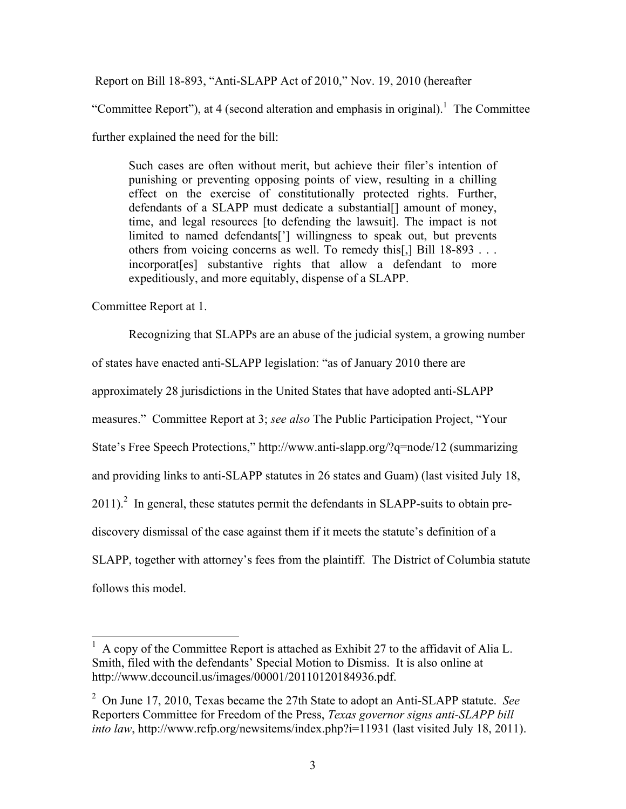Report on Bill 18-893, "Anti-SLAPP Act of 2010," Nov. 19, 2010 (hereafter

"Committee Report"), at 4 (second alteration and emphasis in original).<sup>1</sup> The Committee

further explained the need for the bill:

Such cases are often without merit, but achieve their filer's intention of punishing or preventing opposing points of view, resulting in a chilling effect on the exercise of constitutionally protected rights. Further, defendants of a SLAPP must dedicate a substantial<sup>[]</sup> amount of money, time, and legal resources [to defending the lawsuit]. The impact is not limited to named defendants['] willingness to speak out, but prevents others from voicing concerns as well. To remedy this[,] Bill 18-893 . . . incorporat[es] substantive rights that allow a defendant to more expeditiously, and more equitably, dispense of a SLAPP.

Committee Report at 1.

Recognizing that SLAPPs are an abuse of the judicial system, a growing number of states have enacted anti-SLAPP legislation: "as of January 2010 there are approximately 28 jurisdictions in the United States that have adopted anti-SLAPP measures." Committee Report at 3; *see also* The Public Participation Project, "Your State's Free Speech Protections," http://www.anti-slapp.org/?q=node/12 (summarizing and providing links to anti-SLAPP statutes in 26 states and Guam) (last visited July 18,  $2011$ ).<sup>2</sup> In general, these statutes permit the defendants in SLAPP-suits to obtain prediscovery dismissal of the case against them if it meets the statute's definition of a SLAPP, together with attorney's fees from the plaintiff. The District of Columbia statute follows this model.

 $\frac{1}{1}$  A copy of the Committee Report is attached as Exhibit 27 to the affidavit of Alia L. Smith, filed with the defendants' Special Motion to Dismiss. It is also online at http://www.dccouncil.us/images/00001/20110120184936.pdf.

<sup>2</sup> On June 17, 2010, Texas became the 27th State to adopt an Anti-SLAPP statute. *See* Reporters Committee for Freedom of the Press, *Texas governor signs anti-SLAPP bill into law*, http://www.rcfp.org/newsitems/index.php?i=11931 (last visited July 18, 2011).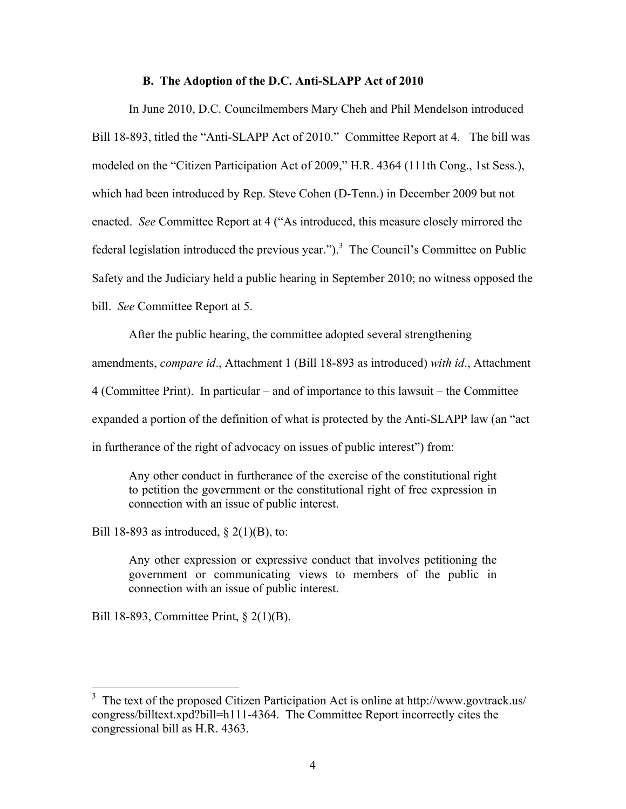#### **B. The Adoption of the D.C. Anti-SLAPP Act of 2010**

In June 2010, D.C. Councilmembers Mary Cheh and Phil Mendelson introduced Bill 18-893, titled the "Anti-SLAPP Act of 2010." Committee Report at 4. The bill was modeled on the "Citizen Participation Act of 2009," H.R. 4364 (111th Cong., 1st Sess.), which had been introduced by Rep. Steve Cohen (D-Tenn.) in December 2009 but not enacted. *See* Committee Report at 4 ("As introduced, this measure closely mirrored the federal legislation introduced the previous year." $)$ <sup>3</sup> The Council's Committee on Public Safety and the Judiciary held a public hearing in September 2010; no witness opposed the bill. *See* Committee Report at 5.

After the public hearing, the committee adopted several strengthening amendments, *compare id*., Attachment 1 (Bill 18-893 as introduced) *with id*., Attachment 4 (Committee Print). In particular – and of importance to this lawsuit – the Committee expanded a portion of the definition of what is protected by the Anti-SLAPP law (an "act in furtherance of the right of advocacy on issues of public interest") from:

Any other conduct in furtherance of the exercise of the constitutional right to petition the government or the constitutional right of free expression in connection with an issue of public interest.

Bill 18-893 as introduced,  $\S$  2(1)(B), to:

Any other expression or expressive conduct that involves petitioning the government or communicating views to members of the public in connection with an issue of public interest.

Bill 18-893, Committee Print, § 2(1)(B).

<sup>&</sup>lt;sup>3</sup> The text of the proposed Citizen Participation Act is online at http://www.govtrack.us/ congress/billtext.xpd?bill=h111-4364. The Committee Report incorrectly cites the congressional bill as H.R. 4363.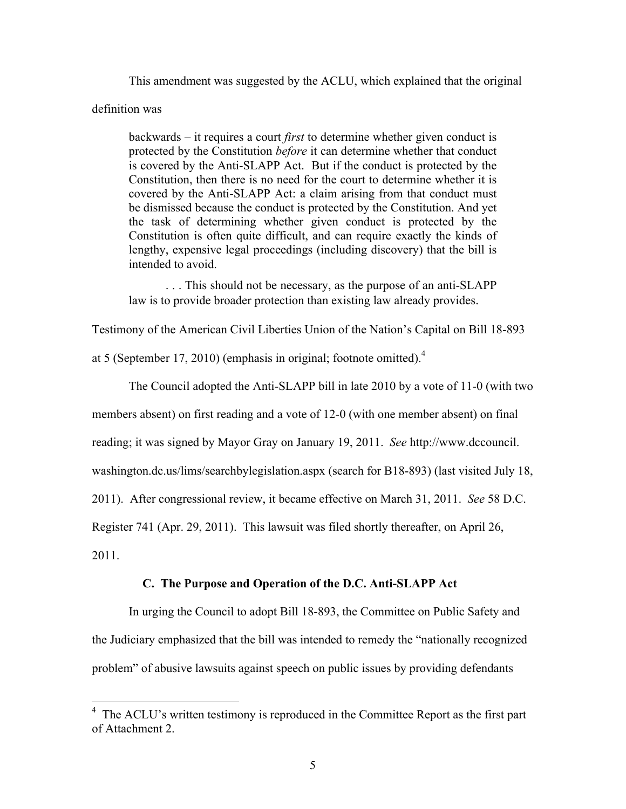This amendment was suggested by the ACLU, which explained that the original

#### definition was

backwards – it requires a court *first* to determine whether given conduct is protected by the Constitution *before* it can determine whether that conduct is covered by the Anti-SLAPP Act. But if the conduct is protected by the Constitution, then there is no need for the court to determine whether it is covered by the Anti-SLAPP Act: a claim arising from that conduct must be dismissed because the conduct is protected by the Constitution. And yet the task of determining whether given conduct is protected by the Constitution is often quite difficult, and can require exactly the kinds of lengthy, expensive legal proceedings (including discovery) that the bill is intended to avoid.

. . . This should not be necessary, as the purpose of an anti-SLAPP law is to provide broader protection than existing law already provides.

Testimony of the American Civil Liberties Union of the Nation's Capital on Bill 18-893

at 5 (September 17, 2010) (emphasis in original; footnote omitted). $4$ 

The Council adopted the Anti-SLAPP bill in late 2010 by a vote of 11-0 (with two

members absent) on first reading and a vote of 12-0 (with one member absent) on final

reading; it was signed by Mayor Gray on January 19, 2011. *See* http://www.dccouncil.

washington.dc.us/lims/searchbylegislation.aspx (search for B18-893) (last visited July 18,

2011). After congressional review, it became effective on March 31, 2011. *See* 58 D.C.

Register 741 (Apr. 29, 2011). This lawsuit was filed shortly thereafter, on April 26,

2011.

## **C. The Purpose and Operation of the D.C. Anti-SLAPP Act**

In urging the Council to adopt Bill 18-893, the Committee on Public Safety and the Judiciary emphasized that the bill was intended to remedy the "nationally recognized problem" of abusive lawsuits against speech on public issues by providing defendants

<sup>&</sup>lt;sup>4</sup> The ACLU's written testimony is reproduced in the Committee Report as the first part of Attachment 2.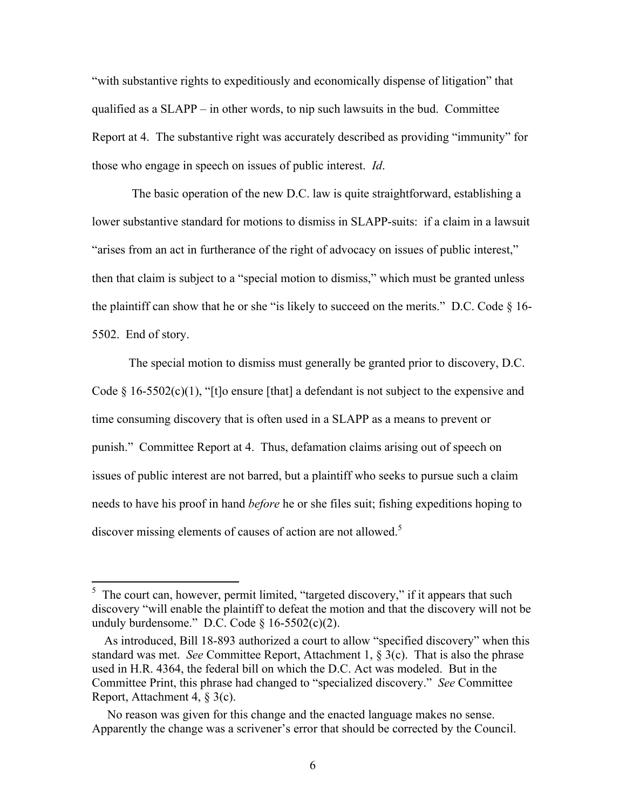"with substantive rights to expeditiously and economically dispense of litigation" that qualified as a SLAPP – in other words, to nip such lawsuits in the bud. Committee Report at 4. The substantive right was accurately described as providing "immunity" for those who engage in speech on issues of public interest. *Id*.

 The basic operation of the new D.C. law is quite straightforward, establishing a lower substantive standard for motions to dismiss in SLAPP-suits: if a claim in a lawsuit "arises from an act in furtherance of the right of advocacy on issues of public interest," then that claim is subject to a "special motion to dismiss," which must be granted unless the plaintiff can show that he or she "is likely to succeed on the merits." D.C. Code  $\S$  16-5502. End of story.

The special motion to dismiss must generally be granted prior to discovery, D.C. Code  $\S$  16-5502(c)(1), "[t]o ensure [that] a defendant is not subject to the expensive and time consuming discovery that is often used in a SLAPP as a means to prevent or punish." Committee Report at 4. Thus, defamation claims arising out of speech on issues of public interest are not barred, but a plaintiff who seeks to pursue such a claim needs to have his proof in hand *before* he or she files suit; fishing expeditions hoping to discover missing elements of causes of action are not allowed.<sup>5</sup>

 $\frac{1}{5}$  The court can, however, permit limited, "targeted discovery," if it appears that such discovery "will enable the plaintiff to defeat the motion and that the discovery will not be unduly burdensome." D.C. Code  $\S$  16-5502(c)(2).

As introduced, Bill 18-893 authorized a court to allow "specified discovery" when this standard was met. *See* Committee Report, Attachment 1, § 3(c). That is also the phrase used in H.R. 4364, the federal bill on which the D.C. Act was modeled. But in the Committee Print, this phrase had changed to "specialized discovery." *See* Committee Report, Attachment 4, § 3(c).

No reason was given for this change and the enacted language makes no sense. Apparently the change was a scrivener's error that should be corrected by the Council.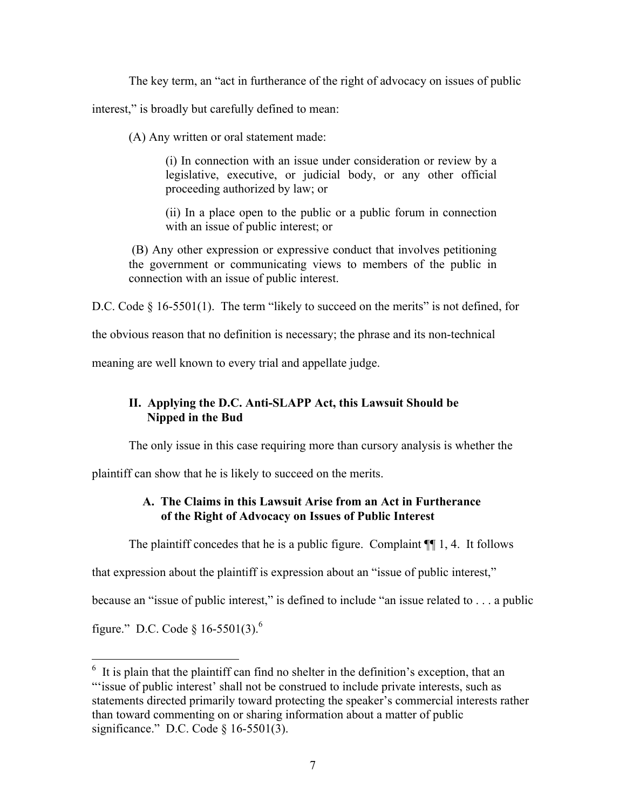The key term, an "act in furtherance of the right of advocacy on issues of public

interest," is broadly but carefully defined to mean:

(A) Any written or oral statement made:

(i) In connection with an issue under consideration or review by a legislative, executive, or judicial body, or any other official proceeding authorized by law; or

(ii) In a place open to the public or a public forum in connection with an issue of public interest; or

(B) Any other expression or expressive conduct that involves petitioning the government or communicating views to members of the public in connection with an issue of public interest.

D.C. Code § 16-5501(1). The term "likely to succeed on the merits" is not defined, for

the obvious reason that no definition is necessary; the phrase and its non-technical

meaning are well known to every trial and appellate judge.

# **II. Applying the D.C. Anti-SLAPP Act, this Lawsuit Should be Nipped in the Bud**

The only issue in this case requiring more than cursory analysis is whether the

plaintiff can show that he is likely to succeed on the merits.

# **A. The Claims in this Lawsuit Arise from an Act in Furtherance of the Right of Advocacy on Issues of Public Interest**

The plaintiff concedes that he is a public figure. Complaint  $\P$ [1,4. It follows]

that expression about the plaintiff is expression about an "issue of public interest,"

because an "issue of public interest," is defined to include "an issue related to . . . a public

figure." D.C. Code § 16-5501(3).<sup>6</sup>

 $\frac{1}{16}$  It is plain that the plaintiff can find no shelter in the definition's exception, that an "'issue of public interest' shall not be construed to include private interests, such as statements directed primarily toward protecting the speaker's commercial interests rather than toward commenting on or sharing information about a matter of public significance." D.C. Code § 16-5501(3).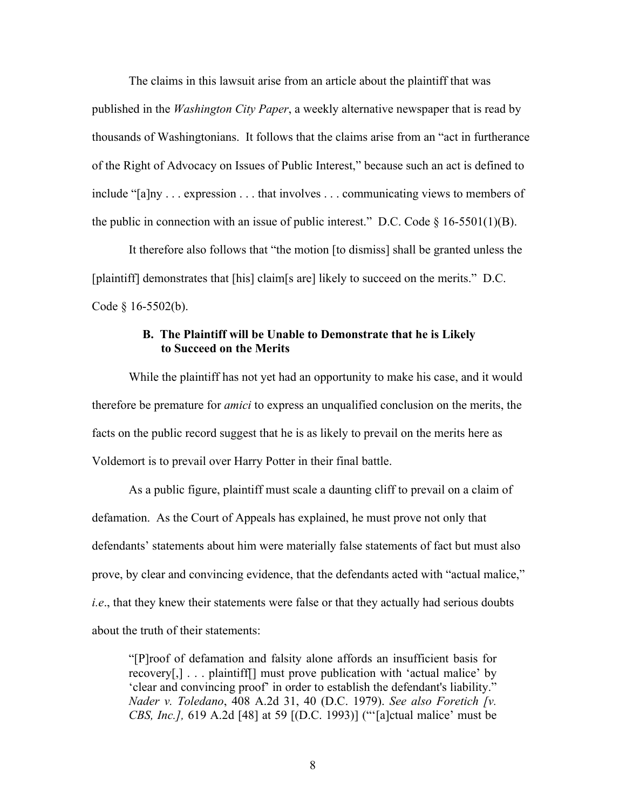The claims in this lawsuit arise from an article about the plaintiff that was published in the *Washington City Paper*, a weekly alternative newspaper that is read by thousands of Washingtonians. It follows that the claims arise from an "act in furtherance of the Right of Advocacy on Issues of Public Interest," because such an act is defined to include "[a]ny . . . expression . . . that involves . . . communicating views to members of the public in connection with an issue of public interest." D.C. Code  $\S$  16-5501(1)(B).

It therefore also follows that "the motion [to dismiss] shall be granted unless the [plaintiff] demonstrates that [his] claim[s are] likely to succeed on the merits." D.C. Code § 16-5502(b).

#### **B. The Plaintiff will be Unable to Demonstrate that he is Likely to Succeed on the Merits**

While the plaintiff has not yet had an opportunity to make his case, and it would therefore be premature for *amici* to express an unqualified conclusion on the merits, the facts on the public record suggest that he is as likely to prevail on the merits here as Voldemort is to prevail over Harry Potter in their final battle.

As a public figure, plaintiff must scale a daunting cliff to prevail on a claim of defamation. As the Court of Appeals has explained, he must prove not only that defendants' statements about him were materially false statements of fact but must also prove, by clear and convincing evidence, that the defendants acted with "actual malice," *i.e*., that they knew their statements were false or that they actually had serious doubts about the truth of their statements:

"[P]roof of defamation and falsity alone affords an insufficient basis for recovery[,] . . . plaintiff[] must prove publication with 'actual malice' by 'clear and convincing proof' in order to establish the defendant's liability." *Nader v. Toledano*, 408 A.2d 31, 40 (D.C. 1979). *See also Foretich [v. CBS, Inc.],* 619 A.2d [48] at 59 [(D.C. 1993)] ("'[a]ctual malice' must be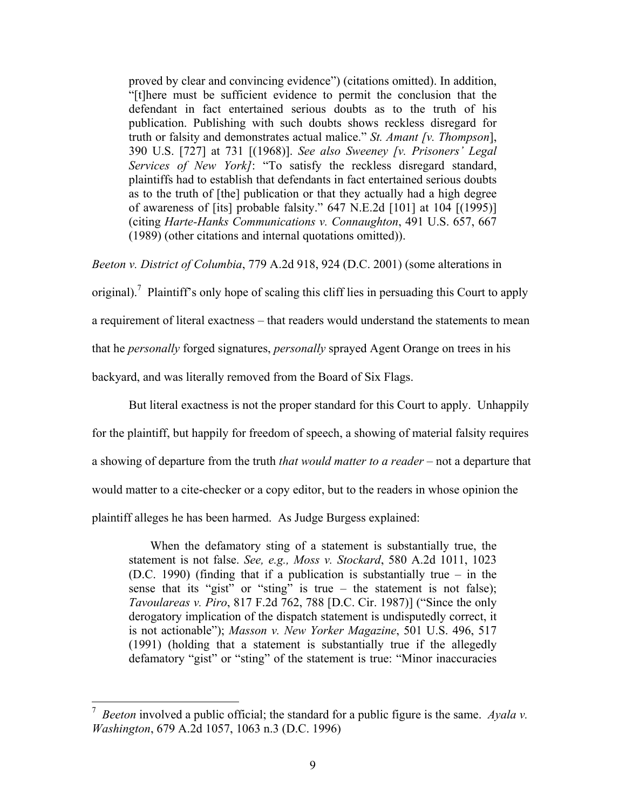proved by clear and convincing evidence") (citations omitted). In addition, "[t]here must be sufficient evidence to permit the conclusion that the defendant in fact entertained serious doubts as to the truth of his publication. Publishing with such doubts shows reckless disregard for truth or falsity and demonstrates actual malice." *St. Amant [v. Thompson*], 390 U.S. [727] at 731 [(1968)]. *See also Sweeney [v. Prisoners' Legal Services of New York]*: "To satisfy the reckless disregard standard, plaintiffs had to establish that defendants in fact entertained serious doubts as to the truth of [the] publication or that they actually had a high degree of awareness of [its] probable falsity." 647 N.E.2d [101] at 104 [(1995)] (citing *Harte-Hanks Communications v. Connaughton*, 491 U.S. 657, 667 (1989) (other citations and internal quotations omitted)).

*Beeton v. District of Columbia*, 779 A.2d 918, 924 (D.C. 2001) (some alterations in

original).<sup>7</sup> Plaintiff's only hope of scaling this cliff lies in persuading this Court to apply

a requirement of literal exactness – that readers would understand the statements to mean

that he *personally* forged signatures, *personally* sprayed Agent Orange on trees in his

backyard, and was literally removed from the Board of Six Flags.

But literal exactness is not the proper standard for this Court to apply. Unhappily for the plaintiff, but happily for freedom of speech, a showing of material falsity requires a showing of departure from the truth *that would matter to a reader* – not a departure that would matter to a cite-checker or a copy editor, but to the readers in whose opinion the plaintiff alleges he has been harmed. As Judge Burgess explained:

 When the defamatory sting of a statement is substantially true, the statement is not false. *See, e.g., Moss v. Stockard*, 580 A.2d 1011, 1023 (D.C. 1990) (finding that if a publication is substantially true – in the sense that its "gist" or "sting" is true – the statement is not false); *Tavoulareas v. Piro*, 817 F.2d 762, 788 [D.C. Cir. 1987)] ("Since the only derogatory implication of the dispatch statement is undisputedly correct, it is not actionable"); *Masson v. New Yorker Magazine*, 501 U.S. 496, 517 (1991) (holding that a statement is substantially true if the allegedly defamatory "gist" or "sting" of the statement is true: "Minor inaccuracies

<sup>&</sup>lt;sup>7</sup> *Beeton* involved a public official; the standard for a public figure is the same. *Ayala v*. *Washington*, 679 A.2d 1057, 1063 n.3 (D.C. 1996)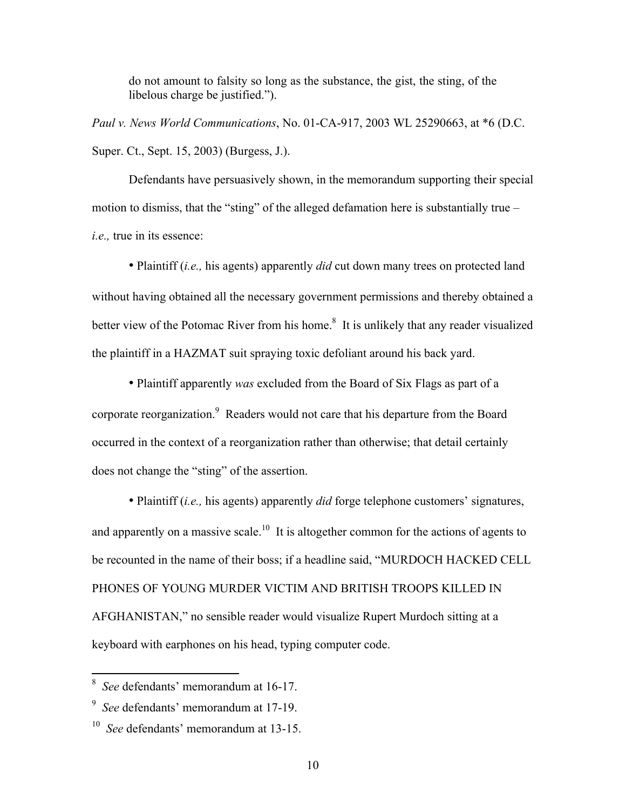do not amount to falsity so long as the substance, the gist, the sting, of the libelous charge be justified.").

*Paul v. News World Communications*, No. 01-CA-917, 2003 WL 25290663, at \*6 (D.C. Super. Ct., Sept. 15, 2003) (Burgess, J.).

Defendants have persuasively shown, in the memorandum supporting their special motion to dismiss, that the "sting" of the alleged defamation here is substantially true – *i.e.,* true in its essence:

• Plaintiff (*i.e.,* his agents) apparently *did* cut down many trees on protected land without having obtained all the necessary government permissions and thereby obtained a better view of the Potomac River from his home.<sup>8</sup> It is unlikely that any reader visualized the plaintiff in a HAZMAT suit spraying toxic defoliant around his back yard.

• Plaintiff apparently *was* excluded from the Board of Six Flags as part of a corporate reorganization.<sup>9</sup> Readers would not care that his departure from the Board occurred in the context of a reorganization rather than otherwise; that detail certainly does not change the "sting" of the assertion.

• Plaintiff (*i.e.,* his agents) apparently *did* forge telephone customers' signatures, and apparently on a massive scale.<sup>10</sup> It is altogether common for the actions of agents to be recounted in the name of their boss; if a headline said, "MURDOCH HACKED CELL PHONES OF YOUNG MURDER VICTIM AND BRITISH TROOPS KILLED IN AFGHANISTAN," no sensible reader would visualize Rupert Murdoch sitting at a keyboard with earphones on his head, typing computer code.

<sup>&</sup>lt;sup>8</sup> See defendants' memorandum at 16-17.

<sup>9</sup> *See* defendants' memorandum at 17-19.

<sup>10</sup> *See* defendants' memorandum at 13-15.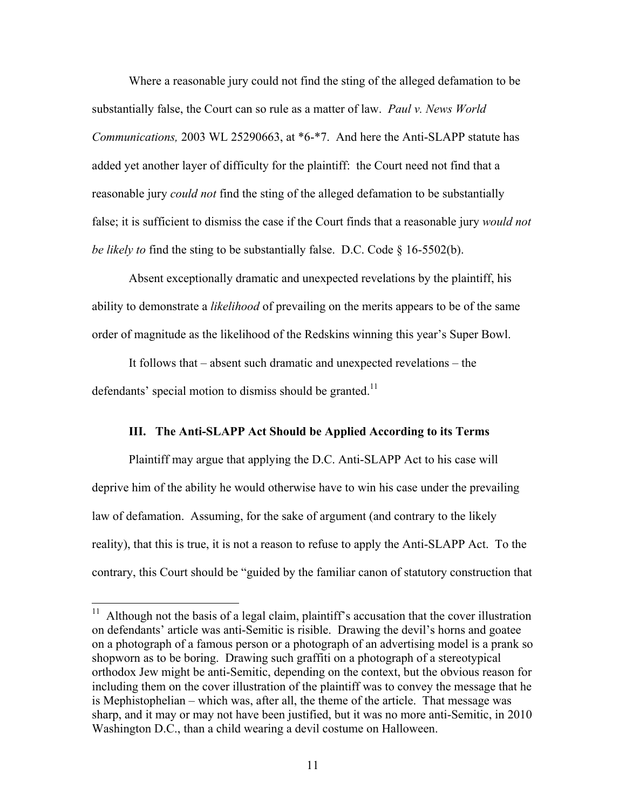Where a reasonable jury could not find the sting of the alleged defamation to be substantially false, the Court can so rule as a matter of law. *Paul v. News World Communications,* 2003 WL 25290663, at \*6-\*7. And here the Anti-SLAPP statute has added yet another layer of difficulty for the plaintiff: the Court need not find that a reasonable jury *could not* find the sting of the alleged defamation to be substantially false; it is sufficient to dismiss the case if the Court finds that a reasonable jury *would not be likely to* find the sting to be substantially false. D.C. Code § 16-5502(b).

Absent exceptionally dramatic and unexpected revelations by the plaintiff, his ability to demonstrate a *likelihood* of prevailing on the merits appears to be of the same order of magnitude as the likelihood of the Redskins winning this year's Super Bowl.

It follows that – absent such dramatic and unexpected revelations – the defendants' special motion to dismiss should be granted.<sup>11</sup>

#### **III. The Anti-SLAPP Act Should be Applied According to its Terms**

Plaintiff may argue that applying the D.C. Anti-SLAPP Act to his case will deprive him of the ability he would otherwise have to win his case under the prevailing law of defamation. Assuming, for the sake of argument (and contrary to the likely reality), that this is true, it is not a reason to refuse to apply the Anti-SLAPP Act. To the contrary, this Court should be "guided by the familiar canon of statutory construction that

 $11$  Although not the basis of a legal claim, plaintiff's accusation that the cover illustration on defendants' article was anti-Semitic is risible. Drawing the devil's horns and goatee on a photograph of a famous person or a photograph of an advertising model is a prank so shopworn as to be boring. Drawing such graffiti on a photograph of a stereotypical orthodox Jew might be anti-Semitic, depending on the context, but the obvious reason for including them on the cover illustration of the plaintiff was to convey the message that he is Mephistophelian – which was, after all, the theme of the article. That message was sharp, and it may or may not have been justified, but it was no more anti-Semitic, in 2010 Washington D.C., than a child wearing a devil costume on Halloween.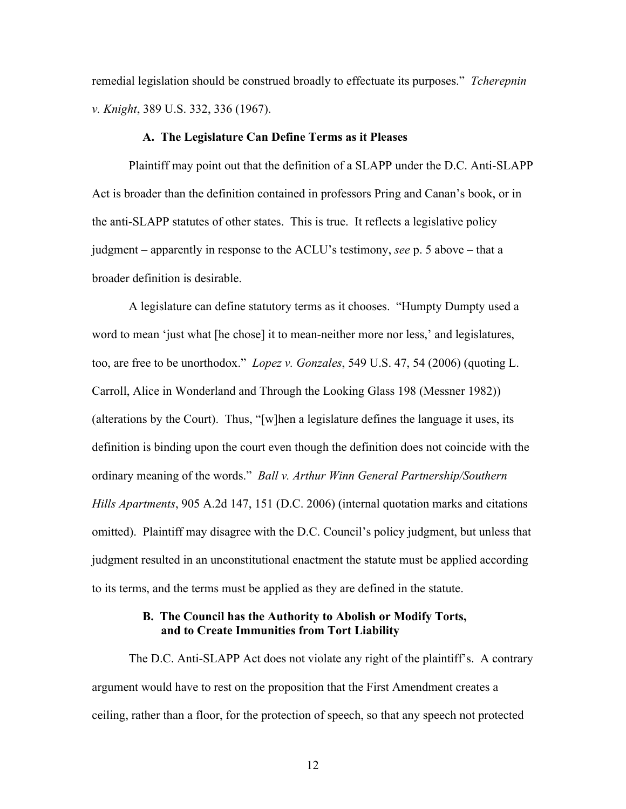remedial legislation should be construed broadly to effectuate its purposes." *Tcherepnin v. Knight*, 389 U.S. 332, 336 (1967).

#### **A. The Legislature Can Define Terms as it Pleases**

Plaintiff may point out that the definition of a SLAPP under the D.C. Anti-SLAPP Act is broader than the definition contained in professors Pring and Canan's book, or in the anti-SLAPP statutes of other states. This is true. It reflects a legislative policy judgment – apparently in response to the ACLU's testimony, *see* p. 5 above – that a broader definition is desirable.

A legislature can define statutory terms as it chooses. "Humpty Dumpty used a word to mean 'just what [he chose] it to mean-neither more nor less,' and legislatures, too, are free to be unorthodox." *Lopez v. Gonzales*, 549 U.S. 47, 54 (2006) (quoting L. Carroll, Alice in Wonderland and Through the Looking Glass 198 (Messner 1982)) (alterations by the Court). Thus, "[w]hen a legislature defines the language it uses, its definition is binding upon the court even though the definition does not coincide with the ordinary meaning of the words." *Ball v. Arthur Winn General Partnership/Southern Hills Apartments*, 905 A.2d 147, 151 (D.C. 2006) (internal quotation marks and citations omitted). Plaintiff may disagree with the D.C. Council's policy judgment, but unless that judgment resulted in an unconstitutional enactment the statute must be applied according to its terms, and the terms must be applied as they are defined in the statute.

#### **B. The Council has the Authority to Abolish or Modify Torts, and to Create Immunities from Tort Liability**

The D.C. Anti-SLAPP Act does not violate any right of the plaintiff's. A contrary argument would have to rest on the proposition that the First Amendment creates a ceiling, rather than a floor, for the protection of speech, so that any speech not protected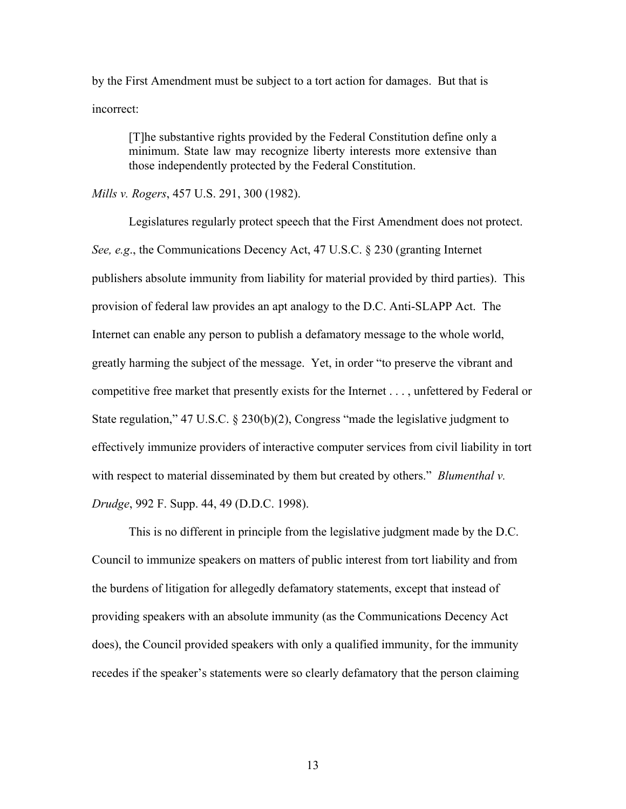by the First Amendment must be subject to a tort action for damages. But that is incorrect:

[T]he substantive rights provided by the Federal Constitution define only a minimum. State law may recognize liberty interests more extensive than those independently protected by the Federal Constitution.

*Mills v. Rogers*, 457 U.S. 291, 300 (1982).

Legislatures regularly protect speech that the First Amendment does not protect. *See, e.g*., the Communications Decency Act, 47 U.S.C. § 230 (granting Internet publishers absolute immunity from liability for material provided by third parties). This provision of federal law provides an apt analogy to the D.C. Anti-SLAPP Act. The Internet can enable any person to publish a defamatory message to the whole world, greatly harming the subject of the message. Yet, in order "to preserve the vibrant and competitive free market that presently exists for the Internet . . . , unfettered by Federal or State regulation," 47 U.S.C. § 230(b)(2), Congress "made the legislative judgment to effectively immunize providers of interactive computer services from civil liability in tort with respect to material disseminated by them but created by others." *Blumenthal v. Drudge*, 992 F. Supp. 44, 49 (D.D.C. 1998).

This is no different in principle from the legislative judgment made by the D.C. Council to immunize speakers on matters of public interest from tort liability and from the burdens of litigation for allegedly defamatory statements, except that instead of providing speakers with an absolute immunity (as the Communications Decency Act does), the Council provided speakers with only a qualified immunity, for the immunity recedes if the speaker's statements were so clearly defamatory that the person claiming

13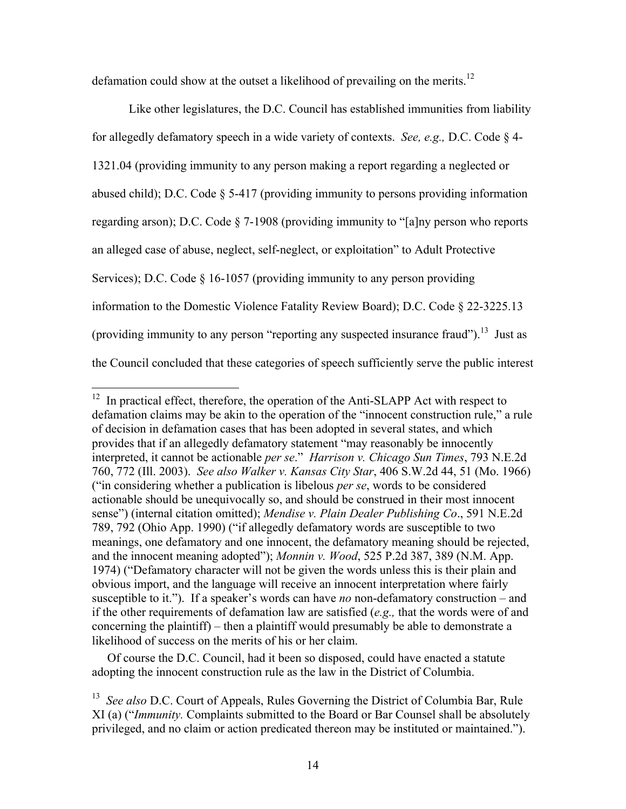defamation could show at the outset a likelihood of prevailing on the merits.<sup>12</sup>

Like other legislatures, the D.C. Council has established immunities from liability for allegedly defamatory speech in a wide variety of contexts. *See, e.g.,* D.C. Code § 4- 1321.04 (providing immunity to any person making a report regarding a neglected or abused child); D.C. Code § 5-417 (providing immunity to persons providing information regarding arson); D.C. Code § 7-1908 (providing immunity to "[a]ny person who reports an alleged case of abuse, neglect, self-neglect, or exploitation" to Adult Protective Services); D.C. Code § 16-1057 (providing immunity to any person providing information to the Domestic Violence Fatality Review Board); D.C. Code § 22-3225.13 (providing immunity to any person "reporting any suspected insurance fraud").<sup>13</sup> Just as the Council concluded that these categories of speech sufficiently serve the public interest

 Of course the D.C. Council, had it been so disposed, could have enacted a statute adopting the innocent construction rule as the law in the District of Columbia.

 $12$  In practical effect, therefore, the operation of the Anti-SLAPP Act with respect to defamation claims may be akin to the operation of the "innocent construction rule," a rule of decision in defamation cases that has been adopted in several states, and which provides that if an allegedly defamatory statement "may reasonably be innocently interpreted, it cannot be actionable *per se*." *Harrison v. Chicago Sun Times*, 793 N.E.2d 760, 772 (Ill. 2003). *See also Walker v. Kansas City Star*, 406 S.W.2d 44, 51 (Mo. 1966) ("in considering whether a publication is libelous *per se*, words to be considered actionable should be unequivocally so, and should be construed in their most innocent sense") (internal citation omitted); *Mendise v. Plain Dealer Publishing Co*., 591 N.E.2d 789, 792 (Ohio App. 1990) ("if allegedly defamatory words are susceptible to two meanings, one defamatory and one innocent, the defamatory meaning should be rejected, and the innocent meaning adopted"); *Monnin v. Wood*, 525 P.2d 387, 389 (N.M. App. 1974) ("Defamatory character will not be given the words unless this is their plain and obvious import, and the language will receive an innocent interpretation where fairly susceptible to it."). If a speaker's words can have *no* non-defamatory construction – and if the other requirements of defamation law are satisfied (*e.g.,* that the words were of and concerning the plaintiff) – then a plaintiff would presumably be able to demonstrate a likelihood of success on the merits of his or her claim.

<sup>13</sup> *See also* D.C. Court of Appeals, Rules Governing the District of Columbia Bar, Rule XI (a) ("*Immunity.* Complaints submitted to the Board or Bar Counsel shall be absolutely privileged, and no claim or action predicated thereon may be instituted or maintained.").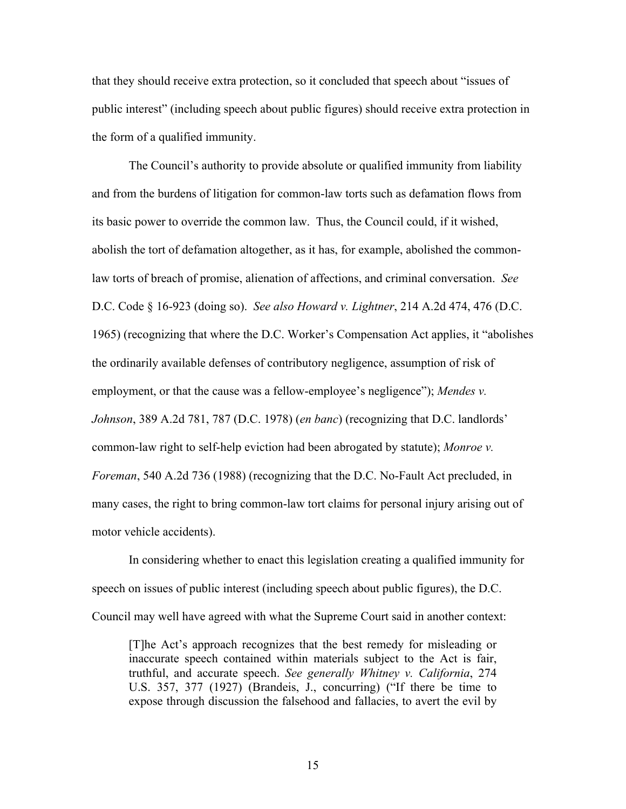that they should receive extra protection, so it concluded that speech about "issues of public interest" (including speech about public figures) should receive extra protection in the form of a qualified immunity.

The Council's authority to provide absolute or qualified immunity from liability and from the burdens of litigation for common-law torts such as defamation flows from its basic power to override the common law. Thus, the Council could, if it wished, abolish the tort of defamation altogether, as it has, for example, abolished the commonlaw torts of breach of promise, alienation of affections, and criminal conversation. *See* D.C. Code § 16-923 (doing so). *See also Howard v. Lightner*, 214 A.2d 474, 476 (D.C. 1965) (recognizing that where the D.C. Worker's Compensation Act applies, it "abolishes the ordinarily available defenses of contributory negligence, assumption of risk of employment, or that the cause was a fellow-employee's negligence"); *Mendes v. Johnson*, 389 A.2d 781, 787 (D.C. 1978) (*en banc*) (recognizing that D.C. landlords' common-law right to self-help eviction had been abrogated by statute); *Monroe v. Foreman*, 540 A.2d 736 (1988) (recognizing that the D.C. No-Fault Act precluded, in many cases, the right to bring common-law tort claims for personal injury arising out of motor vehicle accidents).

In considering whether to enact this legislation creating a qualified immunity for speech on issues of public interest (including speech about public figures), the D.C. Council may well have agreed with what the Supreme Court said in another context:

[T]he Act's approach recognizes that the best remedy for misleading or inaccurate speech contained within materials subject to the Act is fair, truthful, and accurate speech. *See generally Whitney v. California*, 274 U.S. 357, 377 (1927) (Brandeis, J., concurring) ("If there be time to expose through discussion the falsehood and fallacies, to avert the evil by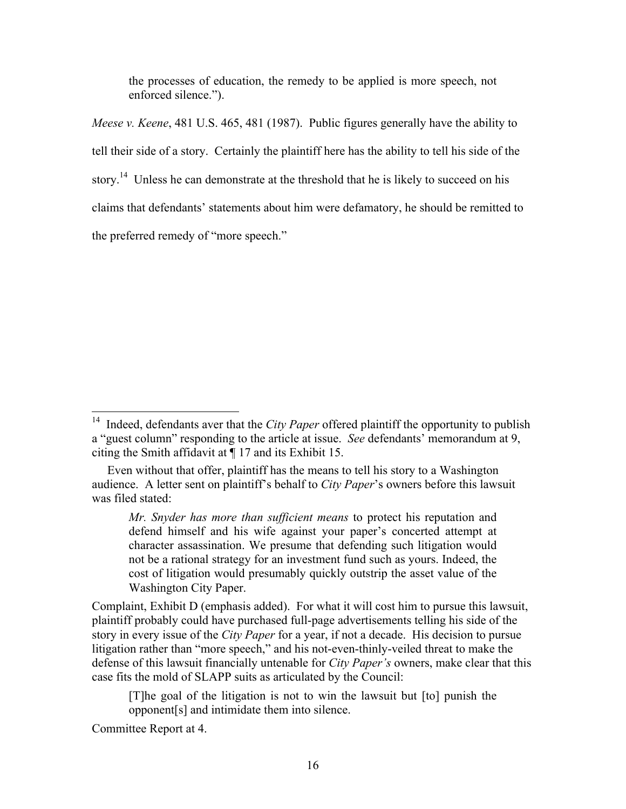the processes of education, the remedy to be applied is more speech, not enforced silence.").

*Meese v. Keene*, 481 U.S. 465, 481 (1987). Public figures generally have the ability to tell their side of a story. Certainly the plaintiff here has the ability to tell his side of the story.<sup>14</sup> Unless he can demonstrate at the threshold that he is likely to succeed on his claims that defendants' statements about him were defamatory, he should be remitted to the preferred remedy of "more speech."

Complaint, Exhibit D (emphasis added). For what it will cost him to pursue this lawsuit, plaintiff probably could have purchased full-page advertisements telling his side of the story in every issue of the *City Paper* for a year, if not a decade. His decision to pursue litigation rather than "more speech," and his not-even-thinly-veiled threat to make the defense of this lawsuit financially untenable for *City Paper's* owners, make clear that this case fits the mold of SLAPP suits as articulated by the Council:

[T]he goal of the litigation is not to win the lawsuit but [to] punish the opponent[s] and intimidate them into silence.

Committee Report at 4.

<sup>&</sup>lt;sup>14</sup> Indeed, defendants aver that the *City Paper* offered plaintiff the opportunity to publish a "guest column" responding to the article at issue. *See* defendants' memorandum at 9, citing the Smith affidavit at ¶ 17 and its Exhibit 15.

Even without that offer, plaintiff has the means to tell his story to a Washington audience. A letter sent on plaintiff's behalf to *City Paper*'s owners before this lawsuit was filed stated:

*Mr. Snyder has more than sufficient means* to protect his reputation and defend himself and his wife against your paper's concerted attempt at character assassination. We presume that defending such litigation would not be a rational strategy for an investment fund such as yours. Indeed, the cost of litigation would presumably quickly outstrip the asset value of the Washington City Paper.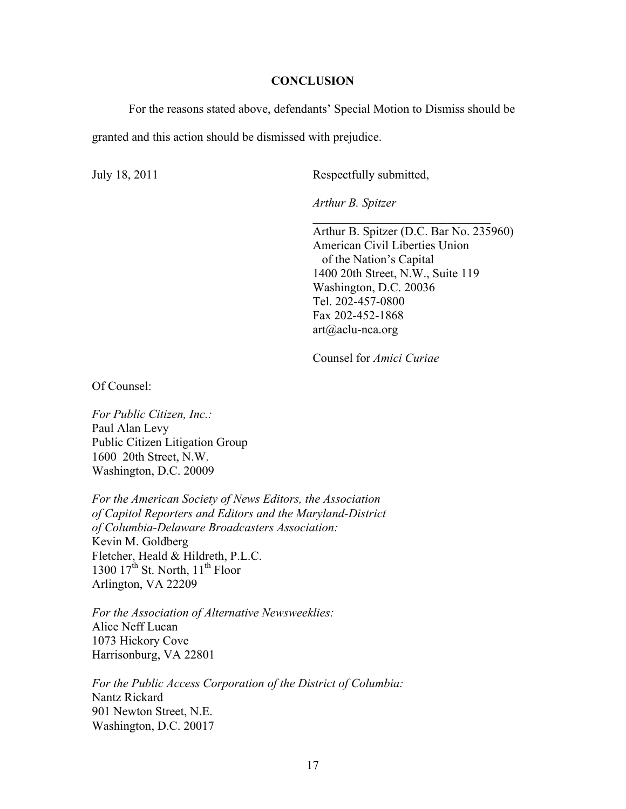#### **CONCLUSION**

For the reasons stated above, defendants' Special Motion to Dismiss should be

granted and this action should be dismissed with prejudice.

July 18, 2011 Respectfully submitted,

*Arthur B. Spitzer*

Arthur B. Spitzer (D.C. Bar No. 235960) American Civil Liberties Union of the Nation's Capital 1400 20th Street, N.W., Suite 119 Washington, D.C. 20036 Tel. 202-457-0800 Fax 202-452-1868 art@aclu-nca.org

 $\mathcal{L}_\text{max}$  , where  $\mathcal{L}_\text{max}$  , we have the set of  $\mathcal{L}_\text{max}$ 

Counsel for *Amici Curiae*

Of Counsel:

*For Public Citizen, Inc.:* Paul Alan Levy Public Citizen Litigation Group 1600 20th Street, N.W. Washington, D.C. 20009

*For the American Society of News Editors, the Association of Capitol Reporters and Editors and the Maryland-District of Columbia-Delaware Broadcasters Association:* Kevin M. Goldberg Fletcher, Heald & Hildreth, P.L.C. 1300  $17^{th}$  St. North,  $11^{th}$  Floor Arlington, VA 22209

*For the Association of Alternative Newsweeklies:* Alice Neff Lucan 1073 Hickory Cove Harrisonburg, VA 22801

*For the Public Access Corporation of the District of Columbia:* Nantz Rickard 901 Newton Street, N.E. Washington, D.C. 20017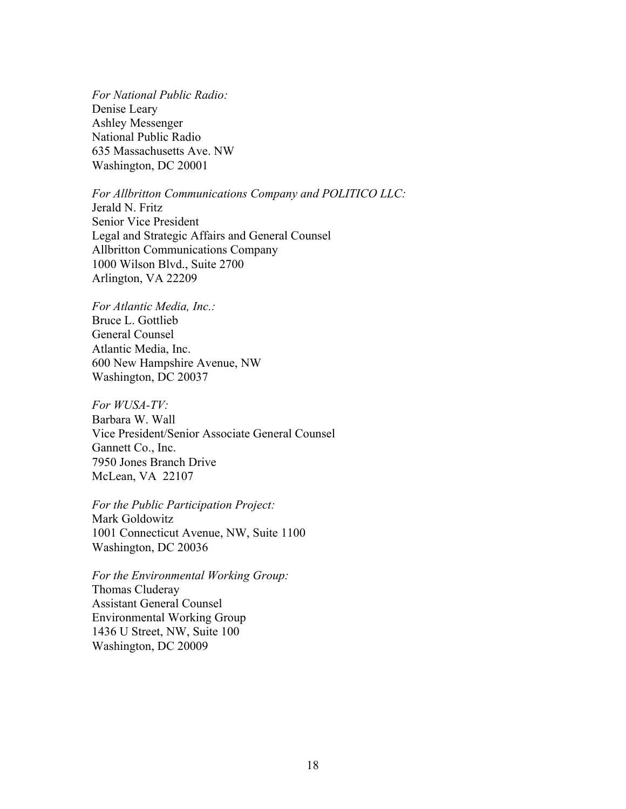*For National Public Radio:* Denise Leary Ashley Messenger National Public Radio 635 Massachusetts Ave. NW Washington, DC 20001

*For Allbritton Communications Company and POLITICO LLC:*

Jerald N. Fritz Senior Vice President Legal and Strategic Affairs and General Counsel Allbritton Communications Company 1000 Wilson Blvd., Suite 2700 Arlington, VA 22209

*For Atlantic Media, Inc.:* Bruce L. Gottlieb General Counsel Atlantic Media, Inc. 600 New Hampshire Avenue, NW Washington, DC 20037

*For WUSA-TV:* Barbara W. Wall Vice President/Senior Associate General Counsel Gannett Co., Inc. 7950 Jones Branch Drive McLean, VA 22107

*For the Public Participation Project:* Mark Goldowitz 1001 Connecticut Avenue, NW, Suite 1100 Washington, DC 20036

*For the Environmental Working Group:* Thomas Cluderay Assistant General Counsel Environmental Working Group 1436 U Street, NW, Suite 100 Washington, DC 20009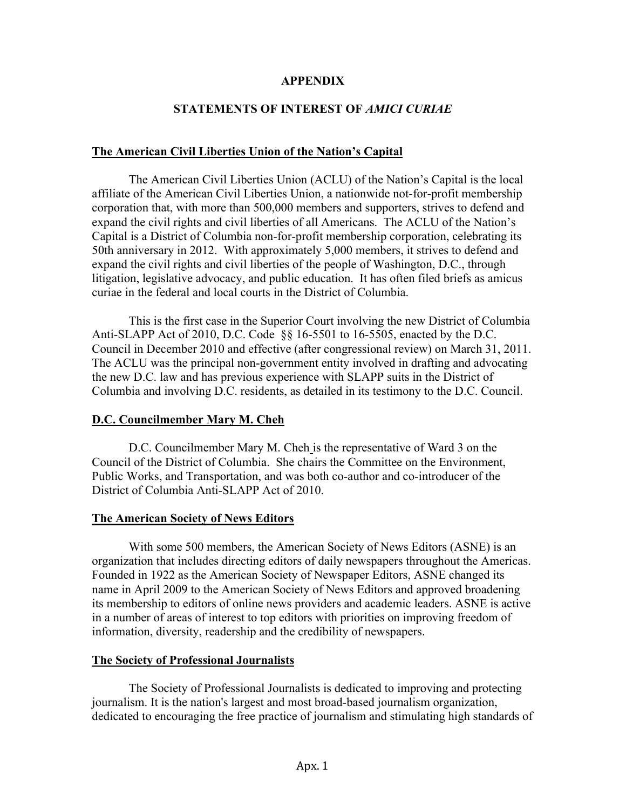#### **APPENDIX**

## **STATEMENTS OF INTEREST OF** *AMICI CURIAE*

## **The American Civil Liberties Union of the Nation's Capital**

The American Civil Liberties Union (ACLU) of the Nation's Capital is the local affiliate of the American Civil Liberties Union, a nationwide not-for-profit membership corporation that, with more than 500,000 members and supporters, strives to defend and expand the civil rights and civil liberties of all Americans. The ACLU of the Nation's Capital is a District of Columbia non-for-profit membership corporation, celebrating its 50th anniversary in 2012. With approximately 5,000 members, it strives to defend and expand the civil rights and civil liberties of the people of Washington, D.C., through litigation, legislative advocacy, and public education. It has often filed briefs as amicus curiae in the federal and local courts in the District of Columbia.

This is the first case in the Superior Court involving the new District of Columbia Anti-SLAPP Act of 2010, D.C. Code §§ 16-5501 to 16-5505, enacted by the D.C. Council in December 2010 and effective (after congressional review) on March 31, 2011. The ACLU was the principal non-government entity involved in drafting and advocating the new D.C. law and has previous experience with SLAPP suits in the District of Columbia and involving D.C. residents, as detailed in its testimony to the D.C. Council.

## **D.C. Councilmember Mary M. Cheh**

D.C. Councilmember Mary M. Cheh is the representative of Ward 3 on the Council of the District of Columbia. She chairs the Committee on the Environment, Public Works, and Transportation, and was both co-author and co-introducer of the District of Columbia Anti-SLAPP Act of 2010.

#### **The American Society of News Editors**

With some 500 members, the American Society of News Editors (ASNE) is an organization that includes directing editors of daily newspapers throughout the Americas. Founded in 1922 as the American Society of Newspaper Editors, ASNE changed its name in April 2009 to the American Society of News Editors and approved broadening its membership to editors of online news providers and academic leaders. ASNE is active in a number of areas of interest to top editors with priorities on improving freedom of information, diversity, readership and the credibility of newspapers.

## **The Society of Professional Journalists**

The Society of Professional Journalists is dedicated to improving and protecting journalism. It is the nation's largest and most broad-based journalism organization, dedicated to encouraging the free practice of journalism and stimulating high standards of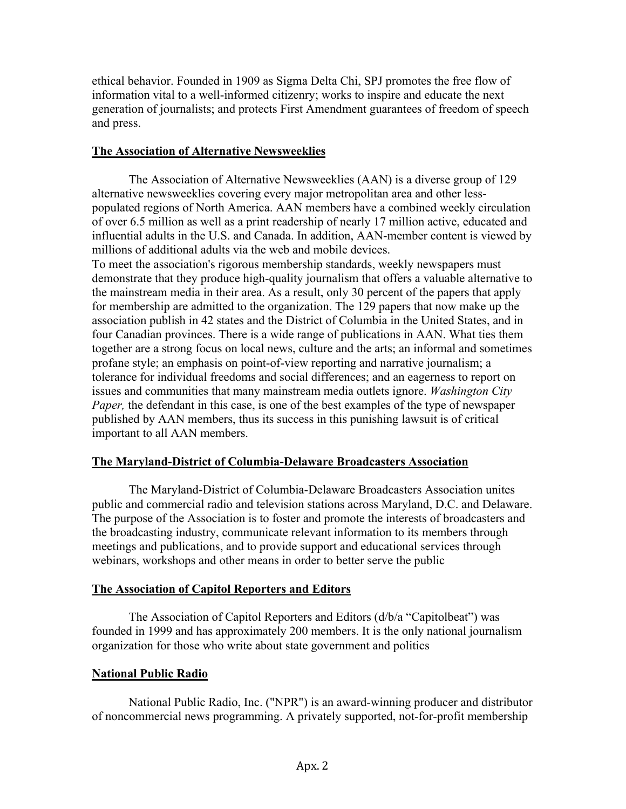ethical behavior. Founded in 1909 as Sigma Delta Chi, SPJ promotes the free flow of information vital to a well-informed citizenry; works to inspire and educate the next generation of journalists; and protects First Amendment guarantees of freedom of speech and press.

## **The Association of Alternative Newsweeklies**

The Association of Alternative Newsweeklies (AAN) is a diverse group of 129 alternative newsweeklies covering every major metropolitan area and other lesspopulated regions of North America. AAN members have a combined weekly circulation of over 6.5 million as well as a print readership of nearly 17 million active, educated and influential adults in the U.S. and Canada. In addition, AAN-member content is viewed by millions of additional adults via the web and mobile devices.

To meet the association's rigorous membership standards, weekly newspapers must demonstrate that they produce high-quality journalism that offers a valuable alternative to the mainstream media in their area. As a result, only 30 percent of the papers that apply for membership are admitted to the organization. The 129 papers that now make up the association publish in 42 states and the District of Columbia in the United States, and in four Canadian provinces. There is a wide range of publications in AAN. What ties them together are a strong focus on local news, culture and the arts; an informal and sometimes profane style; an emphasis on point-of-view reporting and narrative journalism; a tolerance for individual freedoms and social differences; and an eagerness to report on issues and communities that many mainstream media outlets ignore. *Washington City Paper*, the defendant in this case, is one of the best examples of the type of newspaper published by AAN members, thus its success in this punishing lawsuit is of critical important to all AAN members.

## **The Maryland-District of Columbia-Delaware Broadcasters Association**

The Maryland-District of Columbia-Delaware Broadcasters Association unites public and commercial radio and television stations across Maryland, D.C. and Delaware. The purpose of the Association is to foster and promote the interests of broadcasters and the broadcasting industry, communicate relevant information to its members through meetings and publications, and to provide support and educational services through webinars, workshops and other means in order to better serve the public

## **The Association of Capitol Reporters and Editors**

The Association of Capitol Reporters and Editors (d/b/a "Capitolbeat") was founded in 1999 and has approximately 200 members. It is the only national journalism organization for those who write about state government and politics

## **National Public Radio**

National Public Radio, Inc. ("NPR") is an award-winning producer and distributor of noncommercial news programming. A privately supported, not-for-profit membership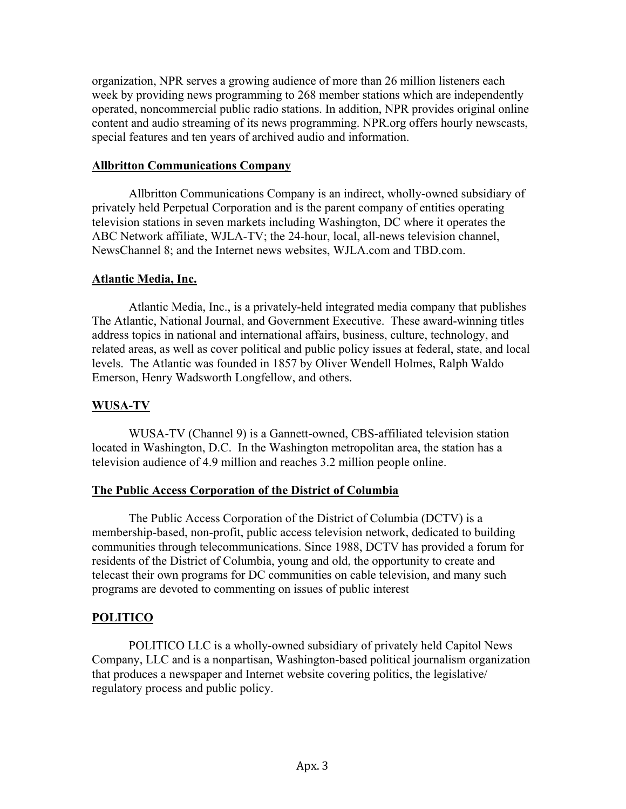organization, NPR serves a growing audience of more than 26 million listeners each week by providing news programming to 268 member stations which are independently operated, noncommercial public radio stations. In addition, NPR provides original online content and audio streaming of its news programming. NPR.org offers hourly newscasts, special features and ten years of archived audio and information.

## **Allbritton Communications Company**

Allbritton Communications Company is an indirect, wholly-owned subsidiary of privately held Perpetual Corporation and is the parent company of entities operating television stations in seven markets including Washington, DC where it operates the ABC Network affiliate, WJLA-TV; the 24-hour, local, all-news television channel, NewsChannel 8; and the Internet news websites, WJLA.com and TBD.com.

### **Atlantic Media, Inc.**

Atlantic Media, Inc., is a privately-held integrated media company that publishes The Atlantic, National Journal, and Government Executive. These award-winning titles address topics in national and international affairs, business, culture, technology, and related areas, as well as cover political and public policy issues at federal, state, and local levels. The Atlantic was founded in 1857 by Oliver Wendell Holmes, Ralph Waldo Emerson, Henry Wadsworth Longfellow, and others.

## **WUSA-TV**

WUSA-TV (Channel 9) is a Gannett-owned, CBS-affiliated television station located in Washington, D.C. In the Washington metropolitan area, the station has a television audience of 4.9 million and reaches 3.2 million people online.

## **The Public Access Corporation of the District of Columbia**

The Public Access Corporation of the District of Columbia (DCTV) is a membership-based, non-profit, public access television network, dedicated to building communities through telecommunications. Since 1988, DCTV has provided a forum for residents of the District of Columbia, young and old, the opportunity to create and telecast their own programs for DC communities on cable television, and many such programs are devoted to commenting on issues of public interest

# **POLITICO**

POLITICO LLC is a wholly-owned subsidiary of privately held Capitol News Company, LLC and is a nonpartisan, Washington-based political journalism organization that produces a newspaper and Internet website covering politics, the legislative/ regulatory process and public policy.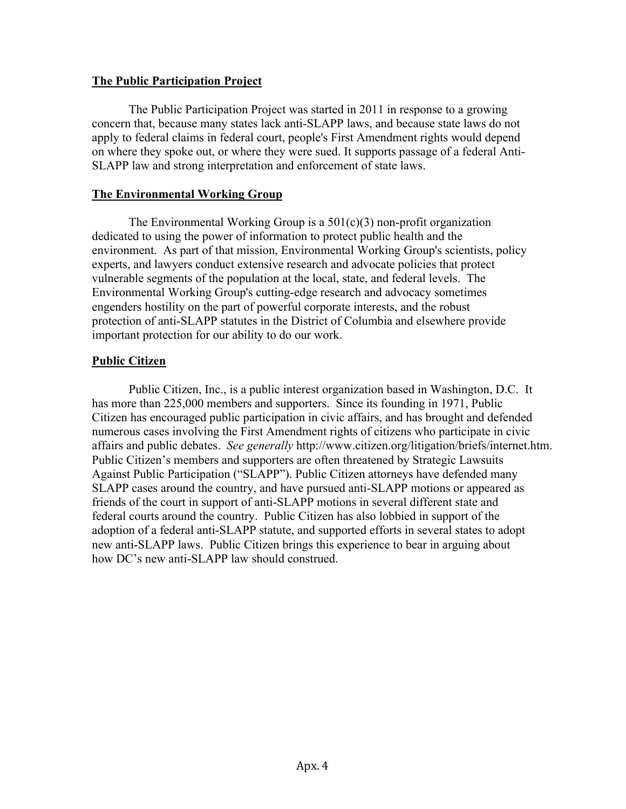### **The Public Participation Project**

The Public Participation Project was started in 2011 in response to a growing concern that, because many states lack anti-SLAPP laws, and because state laws do not apply to federal claims in federal court, people's First Amendment rights would depend on where they spoke out, or where they were sued. It supports passage of a federal Anti-SLAPP law and strong interpretation and enforcement of state laws.

### **The Environmental Working Group**

The Environmental Working Group is a  $501(c)(3)$  non-profit organization dedicated to using the power of information to protect public health and the environment. As part of that mission, Environmental Working Group's scientists, policy experts, and lawyers conduct extensive research and advocate policies that protect vulnerable segments of the population at the local, state, and federal levels. The Environmental Working Group's cutting-edge research and advocacy sometimes engenders hostility on the part of powerful corporate interests, and the robust protection of anti-SLAPP statutes in the District of Columbia and elsewhere provide important protection for our ability to do our work.

### **Public Citizen**

Public Citizen, Inc., is a public interest organization based in Washington, D.C. It has more than 225,000 members and supporters. Since its founding in 1971, Public Citizen has encouraged public participation in civic affairs, and has brought and defended numerous cases involving the First Amendment rights of citizens who participate in civic affairs and public debates. *See generally* http://www.citizen.org/litigation/briefs/internet.htm. Public Citizen's members and supporters are often threatened by Strategic Lawsuits Against Public Participation ("SLAPP"). Public Citizen attorneys have defended many SLAPP cases around the country, and have pursued anti-SLAPP motions or appeared as friends of the court in support of anti-SLAPP motions in several different state and federal courts around the country. Public Citizen has also lobbied in support of the adoption of a federal anti-SLAPP statute, and supported efforts in several states to adopt new anti-SLAPP laws. Public Citizen brings this experience to bear in arguing about how DC's new anti-SLAPP law should construed.